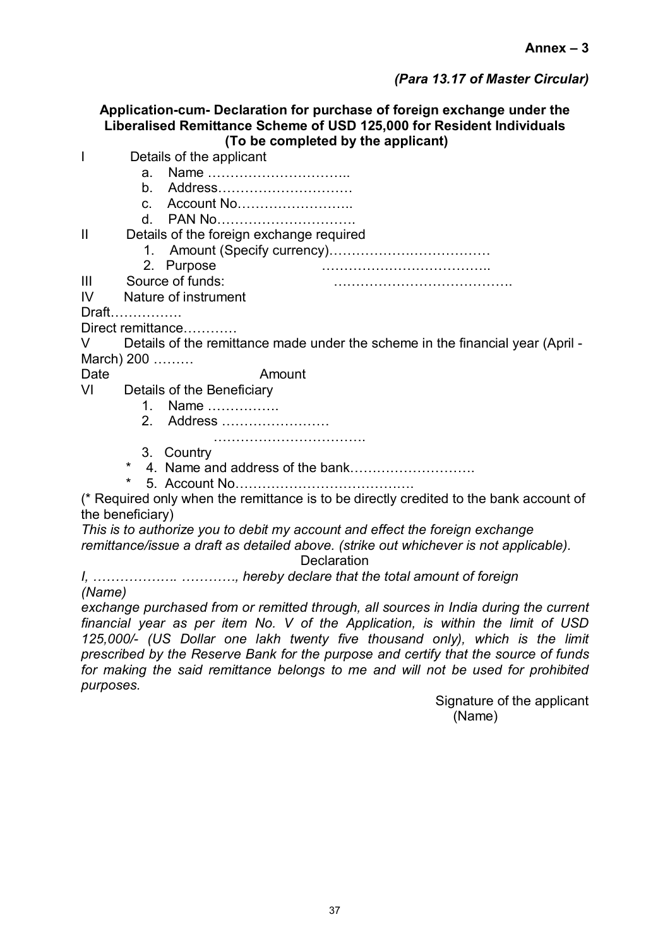## *(Para 13.17 of Master Circular)*

**Application-cum- Declaration for purchase of foreign exchange under the Liberalised Remittance Scheme of USD 125,000 for Resident Individuals (To be completed by the applicant)**

- I Details of the applicant
	- a. Name …………………………..
		- b. Address…………………………
		- c. Account No……………………..
		- d. PAN No………………………….

## II Details of the foreign exchange required

- 1. Amount (Specify currency)………………………………
- 2. Purpose ………………………………..
- III Source of funds: ………………………………….
- IV Nature of instrument

Draft…………….

Direct remittance…………

V Details of the remittance made under the scheme in the financial year (April - March) 200 ………

## Date **Amount**

- VI Details of the Beneficiary
	- 1. Name …………….
	- 2. Address ……………………
	- ……………………………………………
	- 3. Country
	- 4. Name and address of the bank…………………………
	- \* 5. Account No………………………………….

(\* Required only when the remittance is to be directly credited to the bank account of the beneficiary)

*This is to authorize you to debit my account and effect the foreign exchange remittance/issue a draft as detailed above. (strike out whichever is not applicable).*

**Declaration** 

*I, ………………. …………, hereby declare that the total amount of foreign (Name)*

*exchange purchased from or remitted through, all sources in India during the current financial year as per item No. V of the Application, is within the limit of USD 125,000/- (US Dollar one lakh twenty five thousand only), which is the limit prescribed by the Reserve Bank for the purpose and certify that the source of funds for making the said remittance belongs to me and will not be used for prohibited purposes.*

> Signature of the applicant (Name)